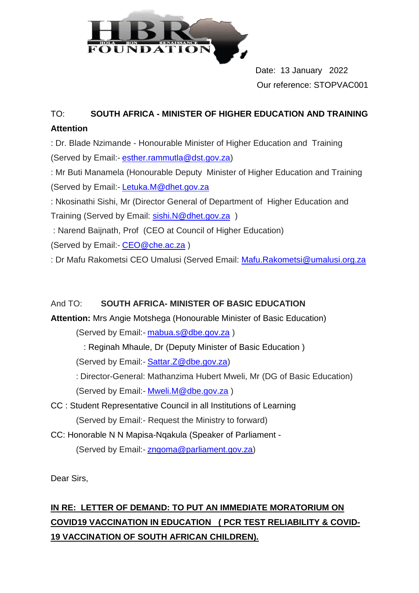

 Date: 13 January 2022 Our reference: STOPVAC001

## TO: **SOUTH AFRICA - MINISTER OF HIGHER EDUCATION AND TRAINING Attention**

: Dr. Blade Nzimande - Honourable Minister of Higher Education and Training (Served by Email:- [esther.rammutla@dst.gov.za\)](mailto:esther.rammutla@dst.gov.za)

: Mr Buti Manamela (Honourable Deputy Minister of Higher Education and Training (Served by Email:- [Letuka.M@dhet.gov.za](mailto:Letuka.M@dhet.gov.za)

: Nkosinathi Sishi, Mr (Director General of Department of Higher Education and Training (Served by Email: [sishi.N@dhet.gov.za](mailto:sishi.N@dhet.gov.za))

: Narend Baijnath, Prof (CEO at Council of Higher Education)

(Served by Email:- [CEO@che.ac.za](mailto:CEO@che.ac.za))

: Dr Mafu Rakometsi CEO Umalusi (Served Email: [Mafu.Rakometsi@umalusi.org.za](mailto:Mafu.Rakometsi@umalusi.org.za)

## And TO: **SOUTH AFRICA- MINISTER OF BASIC EDUCATION**

**Attention:** Mrs Angie Motshega (Honourable Minister of Basic Education)

(Served by Email:- [mabua.s@dbe.gov.za](mailto:mabua.s@dbe.gov.za))

: Reginah Mhaule, Dr (Deputy Minister of Basic Education )

(Served by Email:- Sattar. Z@dbe.gov.za)

: Director-General: Mathanzima Hubert Mweli, Mr (DG of Basic Education) (Served by Email:- [Mweli.M@dbe.gov.za](mailto:Mweli.M@dbe.gov.za))

- CC : Student Representative Council in all Institutions of Learning (Served by Email:- Request the Ministry to forward)
- CC: Honorable N N Mapisa-Nqakula (Speaker of Parliament (Served by Email:- [zngoma@parliament.gov.za\)](mailto:zngoma@parliament.gov.za)

Dear Sirs,

## **IN RE: LETTER OF DEMAND: TO PUT AN IMMEDIATE MORATORIUM ON COVID19 VACCINATION IN EDUCATION ( PCR TEST RELIABILITY & COVID-19 VACCINATION OF SOUTH AFRICAN CHILDREN).**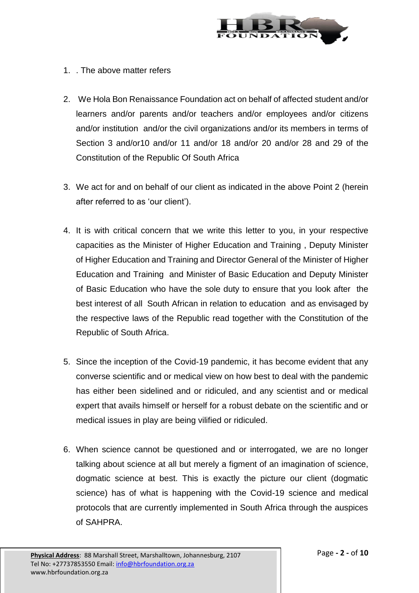

- 1. . The above matter refers
- 2. We Hola Bon Renaissance Foundation act on behalf of affected student and/or learners and/or parents and/or teachers and/or employees and/or citizens and/or institution and/or the civil organizations and/or its members in terms of Section 3 and/or10 and/or 11 and/or 18 and/or 20 and/or 28 and 29 of the Constitution of the Republic Of South Africa
- 3. We act for and on behalf of our client as indicated in the above Point 2 (herein after referred to as 'our client').
- 4. It is with critical concern that we write this letter to you, in your respective capacities as the Minister of Higher Education and Training , Deputy Minister of Higher Education and Training and Director General of the Minister of Higher Education and Training and Minister of Basic Education and Deputy Minister of Basic Education who have the sole duty to ensure that you look after the best interest of all South African in relation to education and as envisaged by the respective laws of the Republic read together with the Constitution of the Republic of South Africa.
- 5. Since the inception of the Covid-19 pandemic, it has become evident that any converse scientific and or medical view on how best to deal with the pandemic has either been sidelined and or ridiculed, and any scientist and or medical expert that avails himself or herself for a robust debate on the scientific and or medical issues in play are being vilified or ridiculed.
- 6. When science cannot be questioned and or interrogated, we are no longer talking about science at all but merely a figment of an imagination of science, dogmatic science at best. This is exactly the picture our client (dogmatic science) has of what is happening with the Covid-19 science and medical protocols that are currently implemented in South Africa through the auspices of SAHPRA.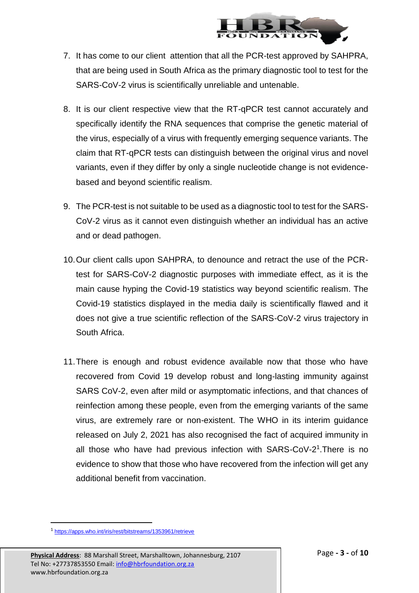

- 7. It has come to our client attention that all the PCR-test approved by SAHPRA, that are being used in South Africa as the primary diagnostic tool to test for the SARS-CoV-2 virus is scientifically unreliable and untenable.
- 8. It is our client respective view that the RT-qPCR test cannot accurately and specifically identify the RNA sequences that comprise the genetic material of the virus, especially of a virus with frequently emerging sequence variants. The claim that RT-qPCR tests can distinguish between the original virus and novel variants, even if they differ by only a single nucleotide change is not evidencebased and beyond scientific realism.
- 9. The PCR-test is not suitable to be used as a diagnostic tool to test for the SARS-CoV-2 virus as it cannot even distinguish whether an individual has an active and or dead pathogen.
- 10.Our client calls upon SAHPRA, to denounce and retract the use of the PCRtest for SARS-CoV-2 diagnostic purposes with immediate effect, as it is the main cause hyping the Covid-19 statistics way beyond scientific realism. The Covid-19 statistics displayed in the media daily is scientifically flawed and it does not give a true scientific reflection of the SARS-CoV-2 virus trajectory in South Africa.
- 11.There is enough and robust evidence available now that those who have recovered from Covid 19 develop robust and long-lasting immunity against SARS CoV-2, even after mild or asymptomatic infections, and that chances of reinfection among these people, even from the emerging variants of the same virus, are extremely rare or non-existent. The WHO in its interim guidance released on July 2, 2021 has also recognised the fact of acquired immunity in all those who have had previous infection with SARS-CoV-2<sup>1</sup>. There is no evidence to show that those who have recovered from the infection will get any additional benefit from vaccination.

 $\overline{a}$ 

<sup>&</sup>lt;sup>1</sup><https://apps.who.int/iris/rest/bitstreams/1353961/retrieve>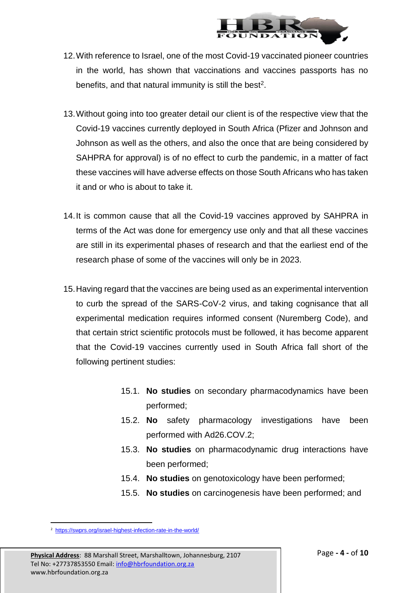

- 12.With reference to Israel, one of the most Covid-19 vaccinated pioneer countries in the world, has shown that vaccinations and vaccines passports has no benefits, and that natural immunity is still the best<sup>2</sup>.
- 13.Without going into too greater detail our client is of the respective view that the Covid-19 vaccines currently deployed in South Africa (Pfizer and Johnson and Johnson as well as the others, and also the once that are being considered by SAHPRA for approval) is of no effect to curb the pandemic, in a matter of fact these vaccines will have adverse effects on those South Africans who has taken it and or who is about to take it.
- 14.It is common cause that all the Covid-19 vaccines approved by SAHPRA in terms of the Act was done for emergency use only and that all these vaccines are still in its experimental phases of research and that the earliest end of the research phase of some of the vaccines will only be in 2023.
- 15.Having regard that the vaccines are being used as an experimental intervention to curb the spread of the SARS-CoV-2 virus, and taking cognisance that all experimental medication requires informed consent (Nuremberg Code), and that certain strict scientific protocols must be followed, it has become apparent that the Covid-19 vaccines currently used in South Africa fall short of the following pertinent studies:
	- 15.1. **No studies** on secondary pharmacodynamics have been performed;
	- 15.2. **No** safety pharmacology investigations have been performed with Ad26.COV.2;
	- 15.3. **No studies** on pharmacodynamic drug interactions have been performed;
	- 15.4. **No studies** on genotoxicology have been performed;
	- 15.5. **No studies** on carcinogenesis have been performed; and

 $\overline{a}$ <sup>2</sup> <https://swprs.org/israel-highest-infection-rate-in-the-world/>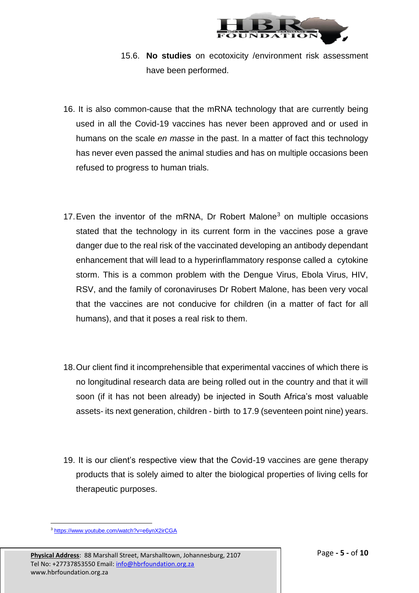

- 15.6. **No studies** on ecotoxicity /environment risk assessment have been performed.
- 16. It is also common-cause that the mRNA technology that are currently being used in all the Covid-19 vaccines has never been approved and or used in humans on the scale *en masse* in the past. In a matter of fact this technology has never even passed the animal studies and has on multiple occasions been refused to progress to human trials.
- 17. Even the inventor of the mRNA, Dr Robert Malone<sup>3</sup> on multiple occasions stated that the technology in its current form in the vaccines pose a grave danger due to the real risk of the vaccinated developing an antibody dependant enhancement that will lead to a hyperinflammatory response called a cytokine storm. This is a common problem with the Dengue Virus, Ebola Virus, HIV, RSV, and the family of coronaviruses Dr Robert Malone, has been very vocal that the vaccines are not conducive for children (in a matter of fact for all humans), and that it poses a real risk to them.
- 18.Our client find it incomprehensible that experimental vaccines of which there is no longitudinal research data are being rolled out in the country and that it will soon (if it has not been already) be injected in South Africa's most valuable assets- its next generation, children - birth to 17.9 (seventeen point nine) years.
- 19. It is our client's respective view that the Covid-19 vaccines are gene therapy products that is solely aimed to alter the biological properties of living cells for therapeutic purposes.

 $\overline{a}$ <sup>3</sup> <https://www.youtube.com/watch?v=e6ynX2irCGA>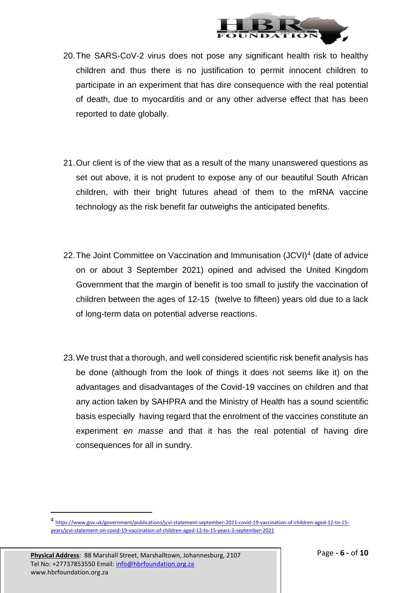

- 20.The SARS-CoV-2 virus does not pose any significant health risk to healthy children and thus there is no justification to permit innocent children to participate in an experiment that has dire consequence with the real potential of death, due to myocarditis and or any other adverse effect that has been reported to date globally.
- 21.Our client is of the view that as a result of the many unanswered questions as set out above, it is not prudent to expose any of our beautiful South African children, with their bright futures ahead of them to the mRNA vaccine technology as the risk benefit far outweighs the anticipated benefits.
- 22. The Joint Committee on Vaccination and Immunisation (JCVI)<sup>4</sup> (date of advice on or about 3 September 2021) opined and advised the United Kingdom Government that the margin of benefit is too small to justify the vaccination of children between the ages of 12-15 (twelve to fifteen) years old due to a lack of long-term data on potential adverse reactions.
- 23.We trust that a thorough, and well considered scientific risk benefit analysis has be done (although from the look of things it does not seems like it) on the advantages and disadvantages of the Covid-19 vaccines on children and that any action taken by SAHPRA and the Ministry of Health has a sound scientific basis especially having regard that the enrolment of the vaccines constitute an experiment *en masse* and that it has the real potential of having dire consequences for all in sundry.

 $\overline{a}$ 

<sup>4</sup> [https://www.gov.uk/government/publications/jcvi-statement-september-2021-covid-19-vaccination-of-children-aged-12-to-15](https://www.gov.uk/government/publications/jcvi-statement-september-2021-covid-19-vaccination-of-children-aged-12-to-15-years/jcvi-statement-on-covid-19-vaccination-of-children-aged-12-to-15-years-3-september-2021) [years/jcvi-statement-on-covid-19-vaccination-of-children-aged-12-to-15-years-3-september-2021](https://www.gov.uk/government/publications/jcvi-statement-september-2021-covid-19-vaccination-of-children-aged-12-to-15-years/jcvi-statement-on-covid-19-vaccination-of-children-aged-12-to-15-years-3-september-2021)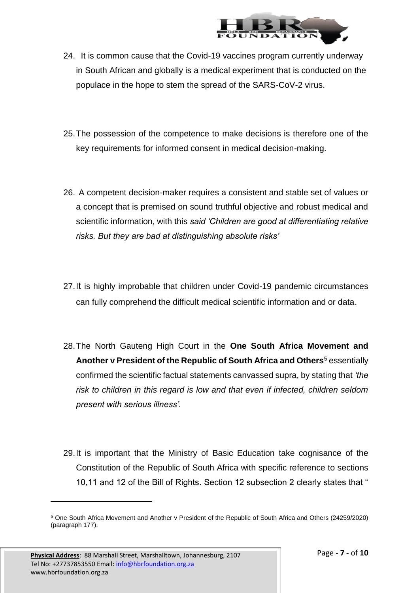

- 24. It is common cause that the Covid-19 vaccines program currently underway in South African and globally is a medical experiment that is conducted on the populace in the hope to stem the spread of the SARS-CoV-2 virus.
- 25.The possession of the competence to make decisions is therefore one of the key requirements for informed consent in medical decision-making.
- 26. A competent decision-maker requires a consistent and stable set of values or a concept that is premised on sound truthful objective and robust medical and scientific information, with this *said 'Children are good at differentiating relative risks. But they are bad at distinguishing absolute risks'*
- 27.It is highly improbable that children under Covid-19 pandemic circumstances can fully comprehend the difficult medical scientific information and or data.
- 28.The North Gauteng High Court in the **One South Africa Movement and Another v President of the Republic of South Africa and Others**<sup>5</sup> essentially confirmed the scientific factual statements canvassed supra, by stating that *'the risk to children in this regard is low and that even if infected, children seldom present with serious illness'.*
- 29.It is important that the Ministry of Basic Education take cognisance of the Constitution of the Republic of South Africa with specific reference to sections 10,11 and 12 of the Bill of Rights. Section 12 subsection 2 clearly states that "

l

<sup>5</sup> One South Africa Movement and Another v President of the Republic of South Africa and Others (24259/2020) (paragraph 177).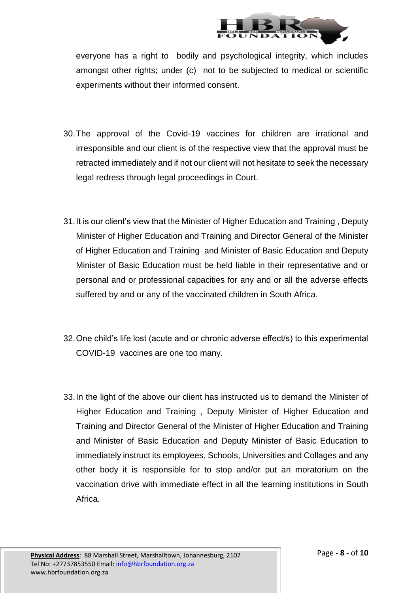

everyone has a right to bodily and psychological integrity, which includes amongst other rights; under (c) not to be subjected to medical or scientific experiments without their informed consent.

- 30.The approval of the Covid-19 vaccines for children are irrational and irresponsible and our client is of the respective view that the approval must be retracted immediately and if not our client will not hesitate to seek the necessary legal redress through legal proceedings in Court.
- 31.It is our client's view that the Minister of Higher Education and Training , Deputy Minister of Higher Education and Training and Director General of the Minister of Higher Education and Training and Minister of Basic Education and Deputy Minister of Basic Education must be held liable in their representative and or personal and or professional capacities for any and or all the adverse effects suffered by and or any of the vaccinated children in South Africa.
- 32.One child's life lost (acute and or chronic adverse effect/s) to this experimental COVID-19 vaccines are one too many.
- 33.In the light of the above our client has instructed us to demand the Minister of Higher Education and Training , Deputy Minister of Higher Education and Training and Director General of the Minister of Higher Education and Training and Minister of Basic Education and Deputy Minister of Basic Education to immediately instruct its employees, Schools, Universities and Collages and any other body it is responsible for to stop and/or put an moratorium on the vaccination drive with immediate effect in all the learning institutions in South Africa.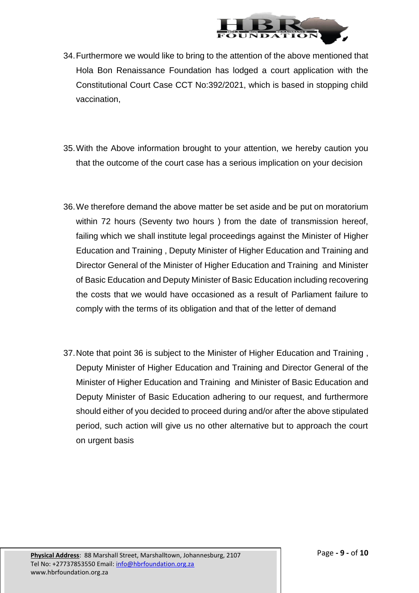

- 34.Furthermore we would like to bring to the attention of the above mentioned that Hola Bon Renaissance Foundation has lodged a court application with the Constitutional Court Case CCT No:392/2021, which is based in stopping child vaccination,
- 35.With the Above information brought to your attention, we hereby caution you that the outcome of the court case has a serious implication on your decision
- 36.We therefore demand the above matter be set aside and be put on moratorium within 72 hours (Seventy two hours ) from the date of transmission hereof, failing which we shall institute legal proceedings against the Minister of Higher Education and Training , Deputy Minister of Higher Education and Training and Director General of the Minister of Higher Education and Training and Minister of Basic Education and Deputy Minister of Basic Education including recovering the costs that we would have occasioned as a result of Parliament failure to comply with the terms of its obligation and that of the letter of demand
- 37.Note that point 36 is subject to the Minister of Higher Education and Training , Deputy Minister of Higher Education and Training and Director General of the Minister of Higher Education and Training and Minister of Basic Education and Deputy Minister of Basic Education adhering to our request, and furthermore should either of you decided to proceed during and/or after the above stipulated period, such action will give us no other alternative but to approach the court on urgent basis